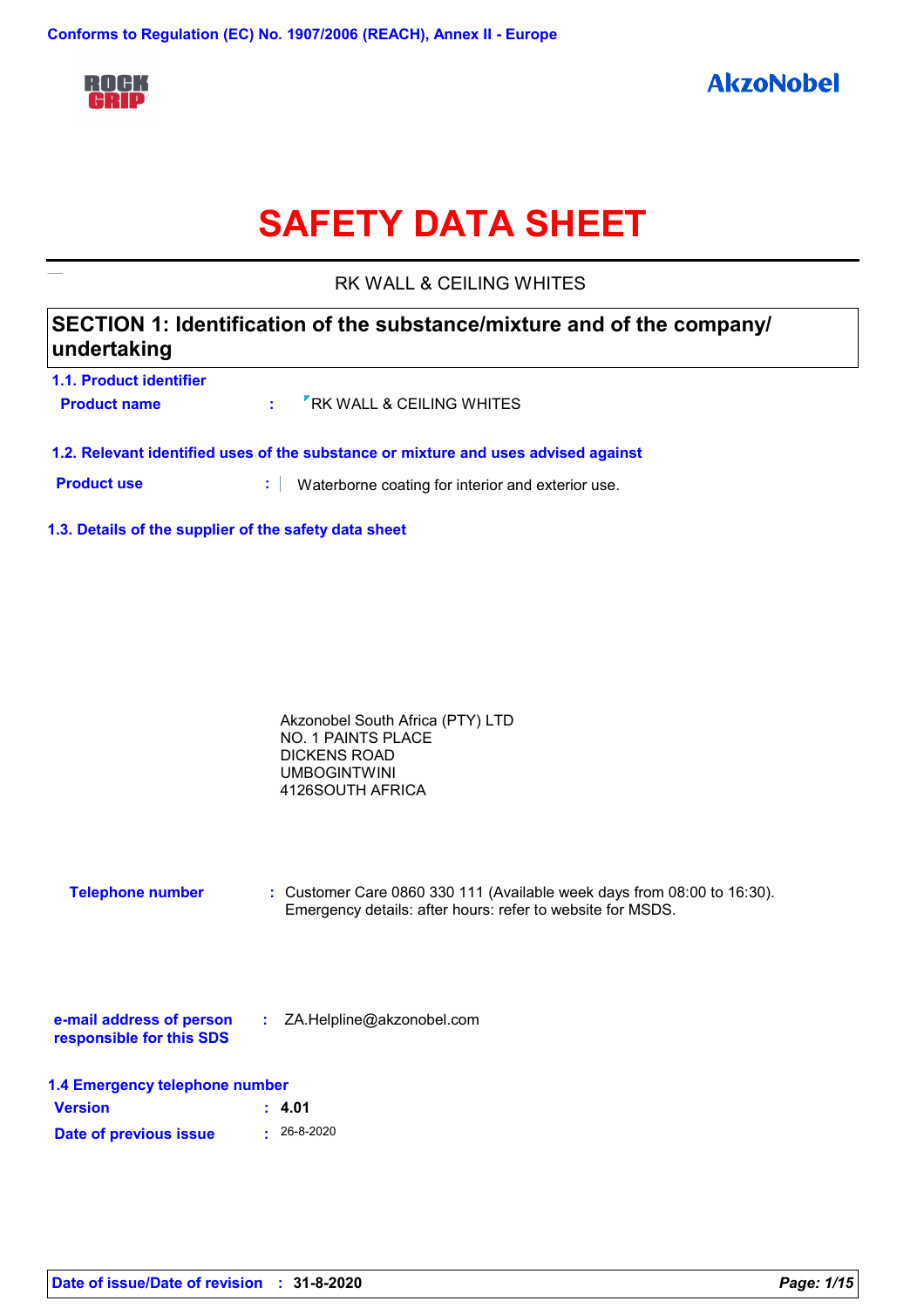

# **SAFETY DATA SHEET**

RK WALL & CEILING WHITES

# **SECTION 1: Identification of the substance/mixture and of the company/ undertaking**

| 1.1. Product identifier |                                                           |
|-------------------------|-----------------------------------------------------------|
| <b>Product name</b>     | $\cdot$ $\overline{\phantom{a}}$ RK WALL & CEILING WHITES |
|                         |                                                           |

**1.2. Relevant identified uses of the substance or mixture and uses advised against**

**Product use <b>:** Waterborne coating for interior and exterior use.

**1.3. Details of the supplier of the safety data sheet**

| Akzonobel South Africa (PTY) LTD |  |
|----------------------------------|--|
| NO. 1 PAINTS PLACE               |  |
| DICKENS ROAD                     |  |
| <b>UMBOGINTWINI</b>              |  |
| 4126SOUTH AFRICA                 |  |

**Telephone number :** Customer Care 0860 330 111 (Available week days from 08:00 to 16:30). Emergency details: after hours: refer to website for MSDS.

| e-mail address of person | ZA.Helpline@akzonobel.com |  |
|--------------------------|---------------------------|--|
| responsible for this SDS |                           |  |

| 1.4 Emergency telephone number |                   |  |
|--------------------------------|-------------------|--|
| <b>Version</b>                 | : 4.01            |  |
| Date of previous issue         | $\cdot$ 26-8-2020 |  |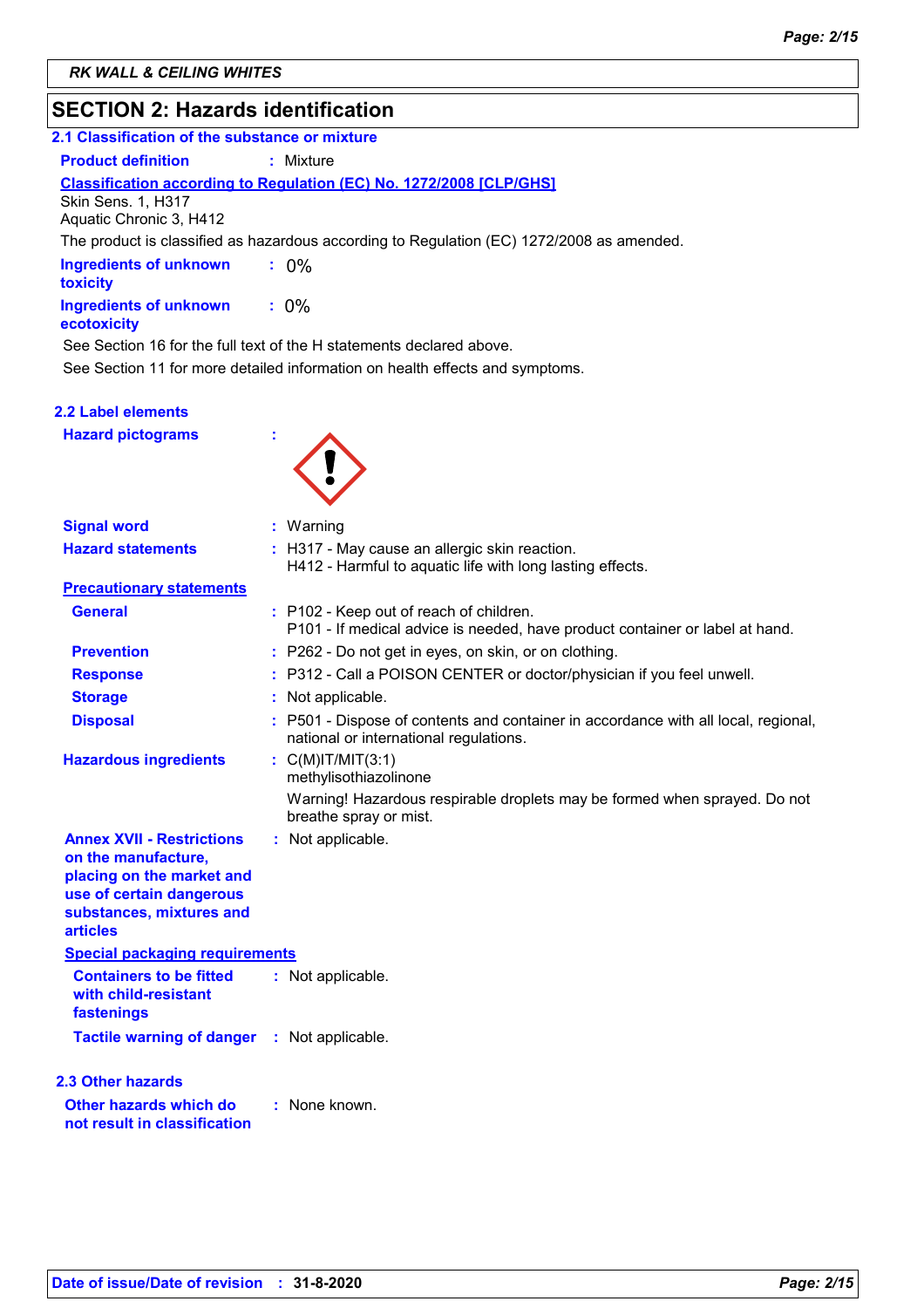# **SECTION 2: Hazards identification**

| 2.1 Classification of the substance or mixture                                                                                                                  |                                                                                                                              |  |
|-----------------------------------------------------------------------------------------------------------------------------------------------------------------|------------------------------------------------------------------------------------------------------------------------------|--|
| <b>Product definition</b>                                                                                                                                       | : Mixture                                                                                                                    |  |
| <b>Skin Sens. 1, H317</b><br>Aquatic Chronic 3, H412                                                                                                            | <b>Classification according to Regulation (EC) No. 1272/2008 [CLP/GHS]</b>                                                   |  |
|                                                                                                                                                                 | The product is classified as hazardous according to Regulation (EC) 1272/2008 as amended.                                    |  |
| <b>Ingredients of unknown</b><br>toxicity                                                                                                                       | $: 0\%$                                                                                                                      |  |
| <b>Ingredients of unknown</b><br>ecotoxicity                                                                                                                    | $: 0\%$                                                                                                                      |  |
|                                                                                                                                                                 | See Section 16 for the full text of the H statements declared above.                                                         |  |
|                                                                                                                                                                 | See Section 11 for more detailed information on health effects and symptoms.                                                 |  |
| <b>2.2 Label elements</b>                                                                                                                                       |                                                                                                                              |  |
| <b>Hazard pictograms</b>                                                                                                                                        |                                                                                                                              |  |
| <b>Signal word</b>                                                                                                                                              | : Warning                                                                                                                    |  |
| <b>Hazard statements</b>                                                                                                                                        | : H317 - May cause an allergic skin reaction.<br>H412 - Harmful to aquatic life with long lasting effects.                   |  |
| <b>Precautionary statements</b>                                                                                                                                 |                                                                                                                              |  |
| <b>General</b>                                                                                                                                                  | : P102 - Keep out of reach of children.<br>P101 - If medical advice is needed, have product container or label at hand.      |  |
| <b>Prevention</b>                                                                                                                                               | : P262 - Do not get in eyes, on skin, or on clothing.                                                                        |  |
| <b>Response</b>                                                                                                                                                 | : P312 - Call a POISON CENTER or doctor/physician if you feel unwell.                                                        |  |
| <b>Storage</b>                                                                                                                                                  | : Not applicable.                                                                                                            |  |
| <b>Disposal</b>                                                                                                                                                 | : P501 - Dispose of contents and container in accordance with all local, regional,<br>national or international regulations. |  |
| <b>Hazardous ingredients</b>                                                                                                                                    | : $C(M)$ IT/MIT $(3:1)$<br>methylisothiazolinone                                                                             |  |
|                                                                                                                                                                 | Warning! Hazardous respirable droplets may be formed when sprayed. Do not<br>breathe spray or mist.                          |  |
| <b>Annex XVII - Restrictions</b><br>on the manufacture,<br>placing on the market and<br>use of certain dangerous<br>substances, mixtures and<br><b>articles</b> | : Not applicable.                                                                                                            |  |
| <b>Special packaging requirements</b>                                                                                                                           |                                                                                                                              |  |
| <b>Containers to be fitted</b><br>with child-resistant<br>fastenings                                                                                            | : Not applicable.                                                                                                            |  |
| <b>Tactile warning of danger</b>                                                                                                                                | : Not applicable.                                                                                                            |  |
| 2.3 Other hazards                                                                                                                                               |                                                                                                                              |  |
| Other hazards which do<br>not result in classification                                                                                                          | : None known.                                                                                                                |  |
|                                                                                                                                                                 |                                                                                                                              |  |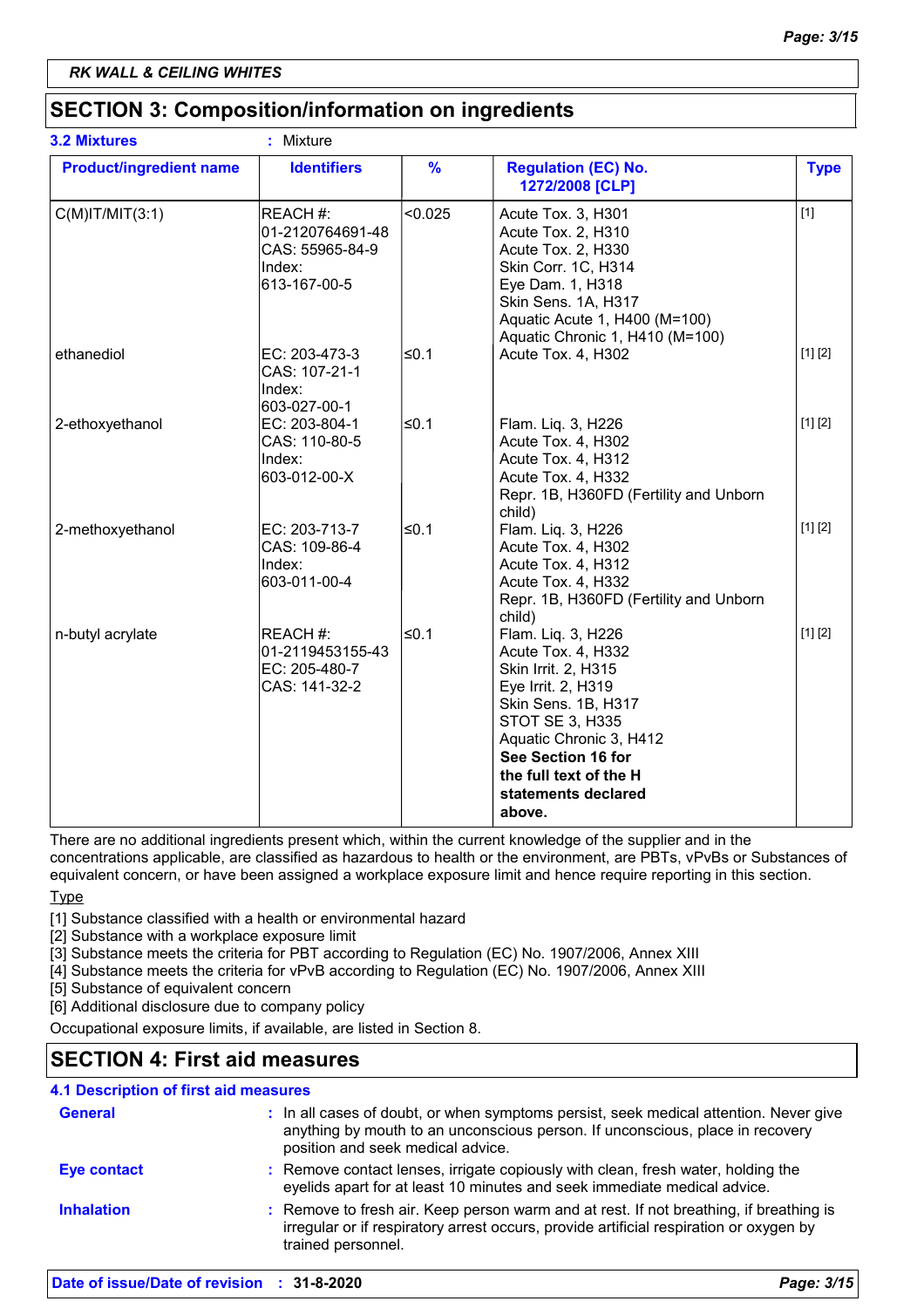# **SECTION 3: Composition/information on ingredients**

| <b>3.2 Mixtures</b>            | ¥,<br>Mixture                                                             |               |                                                                                                                                                                                                                                                    |             |
|--------------------------------|---------------------------------------------------------------------------|---------------|----------------------------------------------------------------------------------------------------------------------------------------------------------------------------------------------------------------------------------------------------|-------------|
| <b>Product/ingredient name</b> | <b>Identifiers</b>                                                        | $\frac{9}{6}$ | <b>Regulation (EC) No.</b><br>1272/2008 [CLP]                                                                                                                                                                                                      | <b>Type</b> |
| $C(M)$ IT/MIT $(3:1)$          | REACH #:<br>01-2120764691-48<br>CAS: 55965-84-9<br>Index:<br>613-167-00-5 | < 0.025       | Acute Tox. 3, H301<br>Acute Tox. 2, H310<br>Acute Tox. 2, H330<br>Skin Corr. 1C, H314<br>Eye Dam. 1, H318<br>Skin Sens. 1A, H317<br>Aquatic Acute 1, H400 (M=100)<br>Aquatic Chronic 1, H410 (M=100)                                               | $[1]$       |
| ethanediol                     | EC: 203-473-3<br>CAS: 107-21-1<br>Index:<br>603-027-00-1                  | l≤0.1         | Acute Tox. 4, H302                                                                                                                                                                                                                                 | [1] [2]     |
| 2-ethoxyethanol                | EC: 203-804-1<br>CAS: 110-80-5<br>Index:<br>603-012-00-X                  | ≤0.1          | Flam. Liq. 3, H226<br>Acute Tox. 4, H302<br>Acute Tox. 4, H312<br>Acute Tox. 4, H332<br>Repr. 1B, H360FD (Fertility and Unborn<br>child)                                                                                                           | [1] [2]     |
| 2-methoxyethanol               | EC: 203-713-7<br>CAS: 109-86-4<br>Index:<br>603-011-00-4                  | ≤0.1          | Flam. Liq. 3, H226<br>Acute Tox. 4, H302<br>Acute Tox. 4, H312<br>Acute Tox. 4, H332<br>Repr. 1B, H360FD (Fertility and Unborn<br>child)                                                                                                           | [1] [2]     |
| n-butyl acrylate               | REACH #:<br>01-2119453155-43<br>EC: 205-480-7<br>CAS: 141-32-2            | l≤0.1         | Flam. Liq. 3, H226<br>Acute Tox. 4, H332<br>Skin Irrit. 2, H315<br>Eye Irrit. 2, H319<br>Skin Sens. 1B, H317<br><b>STOT SE 3, H335</b><br>Aquatic Chronic 3, H412<br>See Section 16 for<br>the full text of the H<br>statements declared<br>above. | [1] [2]     |

There are no additional ingredients present which, within the current knowledge of the supplier and in the

concentrations applicable, are classified as hazardous to health or the environment, are PBTs, vPvBs or Substances of equivalent concern, or have been assigned a workplace exposure limit and hence require reporting in this section.

**Type** 

[1] Substance classified with a health or environmental hazard

[2] Substance with a workplace exposure limit

[3] Substance meets the criteria for PBT according to Regulation (EC) No. 1907/2006, Annex XIII

[4] Substance meets the criteria for vPvB according to Regulation (EC) No. 1907/2006, Annex XIII

[5] Substance of equivalent concern

[6] Additional disclosure due to company policy

Occupational exposure limits, if available, are listed in Section 8.

# **SECTION 4: First aid measures**

### **4.1 Description of first aid measures**

| <b>General</b>    | : In all cases of doubt, or when symptoms persist, seek medical attention. Never give<br>anything by mouth to an unconscious person. If unconscious, place in recovery<br>position and seek medical advice. |
|-------------------|-------------------------------------------------------------------------------------------------------------------------------------------------------------------------------------------------------------|
| Eye contact       | : Remove contact lenses, irrigate copiously with clean, fresh water, holding the<br>eyelids apart for at least 10 minutes and seek immediate medical advice.                                                |
| <b>Inhalation</b> | : Remove to fresh air. Keep person warm and at rest. If not breathing, if breathing is<br>irregular or if respiratory arrest occurs, provide artificial respiration or oxygen by<br>trained personnel.      |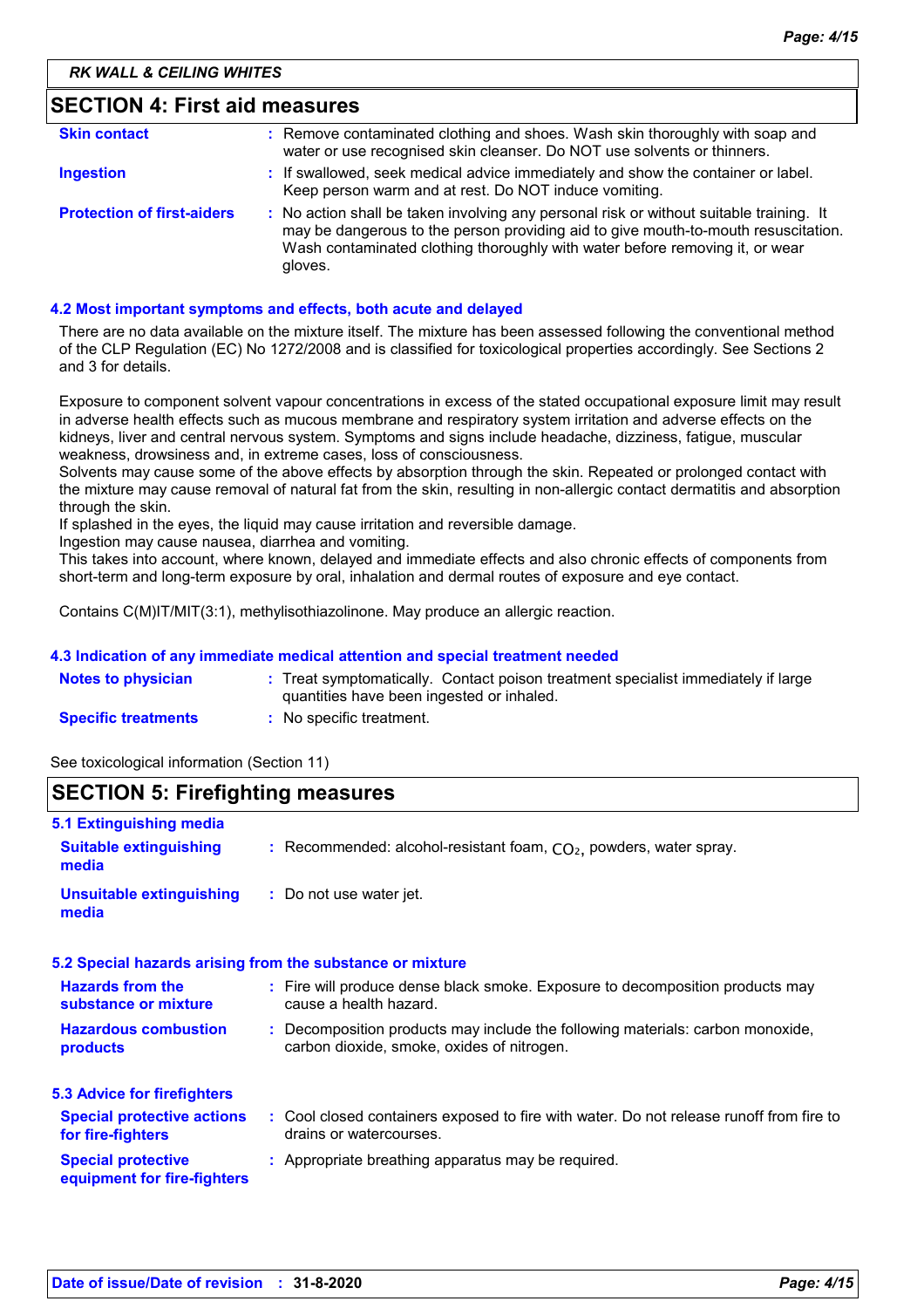| <b>SECTION 4: First aid measures</b> |                                                                                                                                                                                                                                                                          |  |
|--------------------------------------|--------------------------------------------------------------------------------------------------------------------------------------------------------------------------------------------------------------------------------------------------------------------------|--|
| <b>Skin contact</b>                  | : Remove contaminated clothing and shoes. Wash skin thoroughly with soap and<br>water or use recognised skin cleanser. Do NOT use solvents or thinners.                                                                                                                  |  |
| <b>Ingestion</b>                     | : If swallowed, seek medical advice immediately and show the container or label.<br>Keep person warm and at rest. Do NOT induce vomiting.                                                                                                                                |  |
| <b>Protection of first-aiders</b>    | : No action shall be taken involving any personal risk or without suitable training. It<br>may be dangerous to the person providing aid to give mouth-to-mouth resuscitation.<br>Wash contaminated clothing thoroughly with water before removing it, or wear<br>gloves. |  |

#### **4.2 Most important symptoms and effects, both acute and delayed**

There are no data available on the mixture itself. The mixture has been assessed following the conventional method of the CLP Regulation (EC) No 1272/2008 and is classified for toxicological properties accordingly. See Sections 2 and 3 for details.

Exposure to component solvent vapour concentrations in excess of the stated occupational exposure limit may result in adverse health effects such as mucous membrane and respiratory system irritation and adverse effects on the kidneys, liver and central nervous system. Symptoms and signs include headache, dizziness, fatigue, muscular weakness, drowsiness and, in extreme cases, loss of consciousness.

Solvents may cause some of the above effects by absorption through the skin. Repeated or prolonged contact with the mixture may cause removal of natural fat from the skin, resulting in non-allergic contact dermatitis and absorption through the skin.

If splashed in the eyes, the liquid may cause irritation and reversible damage.

Ingestion may cause nausea, diarrhea and vomiting.

This takes into account, where known, delayed and immediate effects and also chronic effects of components from short-term and long-term exposure by oral, inhalation and dermal routes of exposure and eye contact.

Contains C(M)IT/MIT(3:1), methylisothiazolinone. May produce an allergic reaction.

#### **4.3 Indication of any immediate medical attention and special treatment needed**

| <b>Notes to physician</b>  | : Treat symptomatically. Contact poison treatment specialist immediately if large |
|----------------------------|-----------------------------------------------------------------------------------|
|                            | quantities have been ingested or inhaled.                                         |
| <b>Specific treatments</b> | : No specific treatment.                                                          |

See toxicological information (Section 11)

## **SECTION 5: Firefighting measures**

| 5.1 Extinguishing media                                  |                                                                                                                              |
|----------------------------------------------------------|------------------------------------------------------------------------------------------------------------------------------|
| <b>Suitable extinguishing</b><br>media                   | : Recommended: alcohol-resistant foam, $CO2$ , powders, water spray.                                                         |
| <b>Unsuitable extinguishing</b><br>media                 | : Do not use water jet.                                                                                                      |
|                                                          | 5.2 Special hazards arising from the substance or mixture                                                                    |
| <b>Hazards from the</b><br>substance or mixture          | : Fire will produce dense black smoke. Exposure to decomposition products may<br>cause a health hazard.                      |
| <b>Hazardous combustion</b><br>products                  | : Decomposition products may include the following materials: carbon monoxide,<br>carbon dioxide, smoke, oxides of nitrogen. |
| 5.3 Advice for firefighters                              |                                                                                                                              |
| <b>Special protective actions</b><br>for fire-fighters   | : Cool closed containers exposed to fire with water. Do not release runoff from fire to<br>drains or watercourses.           |
| <b>Special protective</b><br>equipment for fire-fighters | : Appropriate breathing apparatus may be required.                                                                           |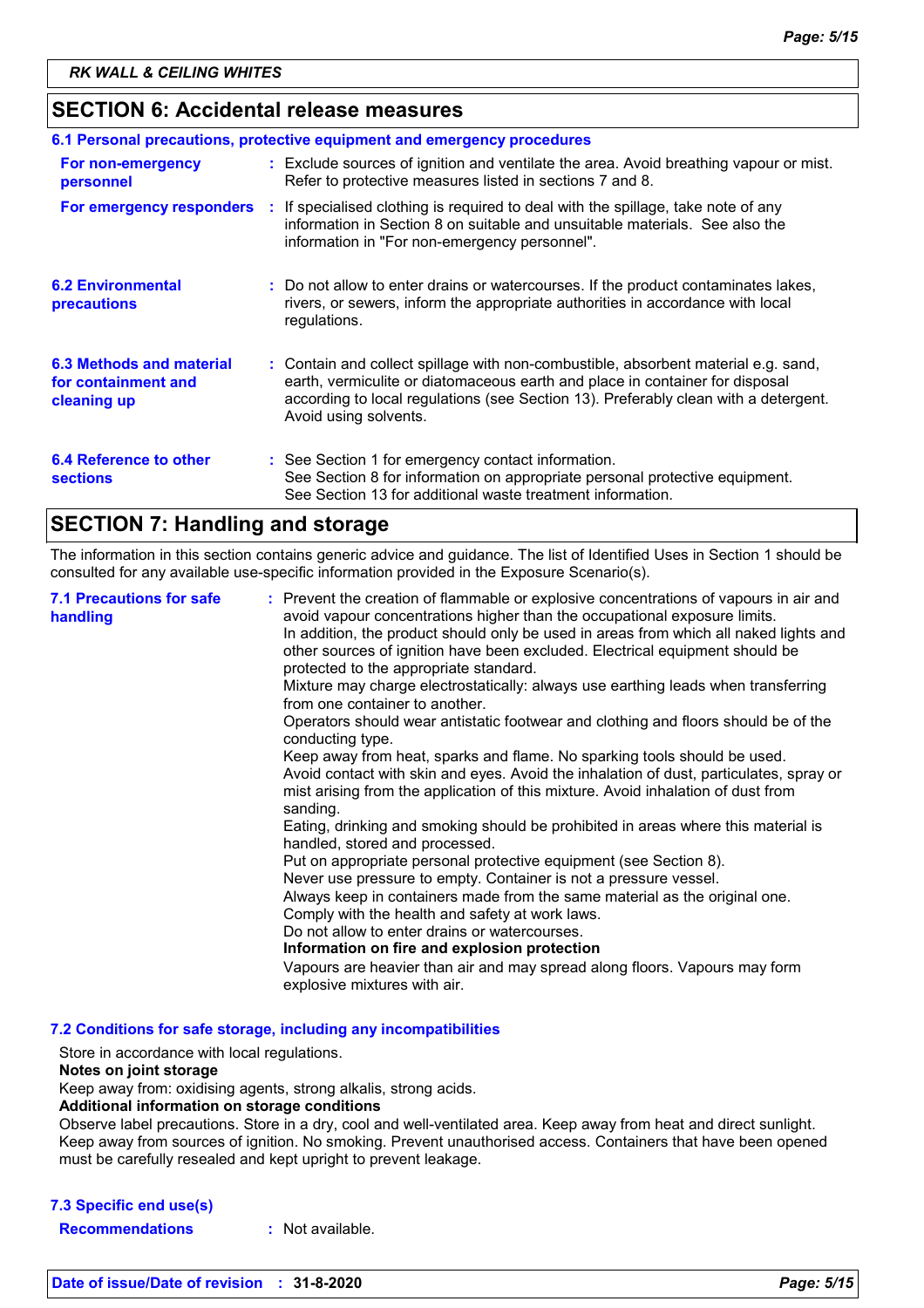# **SECTION 6: Accidental release measures**

| 6.1 Personal precautions, protective equipment and emergency procedures |  |                                                                                                                                                                                                                                                                                    |
|-------------------------------------------------------------------------|--|------------------------------------------------------------------------------------------------------------------------------------------------------------------------------------------------------------------------------------------------------------------------------------|
| For non-emergency<br>personnel                                          |  | : Exclude sources of ignition and ventilate the area. Avoid breathing vapour or mist.<br>Refer to protective measures listed in sections 7 and 8.                                                                                                                                  |
| For emergency responders                                                |  | : If specialised clothing is required to deal with the spillage, take note of any<br>information in Section 8 on suitable and unsuitable materials. See also the<br>information in "For non-emergency personnel".                                                                  |
| <b>6.2 Environmental</b><br>precautions                                 |  | : Do not allow to enter drains or watercourses. If the product contaminates lakes,<br>rivers, or sewers, inform the appropriate authorities in accordance with local<br>regulations.                                                                                               |
| 6.3 Methods and material<br>for containment and<br>cleaning up          |  | : Contain and collect spillage with non-combustible, absorbent material e.g. sand,<br>earth, vermiculite or diatomaceous earth and place in container for disposal<br>according to local regulations (see Section 13). Preferably clean with a detergent.<br>Avoid using solvents. |
| 6.4 Reference to other<br><b>sections</b>                               |  | : See Section 1 for emergency contact information.<br>See Section 8 for information on appropriate personal protective equipment.<br>See Section 13 for additional waste treatment information.                                                                                    |

# **SECTION 7: Handling and storage**

The information in this section contains generic advice and guidance. The list of Identified Uses in Section 1 should be consulted for any available use-specific information provided in the Exposure Scenario(s).

| <b>7.1 Precautions for safe</b><br>handling | : Prevent the creation of flammable or explosive concentrations of vapours in air and<br>avoid vapour concentrations higher than the occupational exposure limits.<br>In addition, the product should only be used in areas from which all naked lights and<br>other sources of ignition have been excluded. Electrical equipment should be<br>protected to the appropriate standard.<br>Mixture may charge electrostatically: always use earthing leads when transferring<br>from one container to another.<br>Operators should wear antistatic footwear and clothing and floors should be of the<br>conducting type.<br>Keep away from heat, sparks and flame. No sparking tools should be used.<br>Avoid contact with skin and eyes. Avoid the inhalation of dust, particulates, spray or<br>mist arising from the application of this mixture. Avoid inhalation of dust from<br>sanding.<br>Eating, drinking and smoking should be prohibited in areas where this material is<br>handled, stored and processed.<br>Put on appropriate personal protective equipment (see Section 8).<br>Never use pressure to empty. Container is not a pressure vessel.<br>Always keep in containers made from the same material as the original one.<br>Comply with the health and safety at work laws.<br>Do not allow to enter drains or watercourses.<br>Information on fire and explosion protection<br>Vapours are heavier than air and may spread along floors. Vapours may form<br>explosive mixtures with air. |
|---------------------------------------------|--------------------------------------------------------------------------------------------------------------------------------------------------------------------------------------------------------------------------------------------------------------------------------------------------------------------------------------------------------------------------------------------------------------------------------------------------------------------------------------------------------------------------------------------------------------------------------------------------------------------------------------------------------------------------------------------------------------------------------------------------------------------------------------------------------------------------------------------------------------------------------------------------------------------------------------------------------------------------------------------------------------------------------------------------------------------------------------------------------------------------------------------------------------------------------------------------------------------------------------------------------------------------------------------------------------------------------------------------------------------------------------------------------------------------------------------------------------------------------------------------------------|
|---------------------------------------------|--------------------------------------------------------------------------------------------------------------------------------------------------------------------------------------------------------------------------------------------------------------------------------------------------------------------------------------------------------------------------------------------------------------------------------------------------------------------------------------------------------------------------------------------------------------------------------------------------------------------------------------------------------------------------------------------------------------------------------------------------------------------------------------------------------------------------------------------------------------------------------------------------------------------------------------------------------------------------------------------------------------------------------------------------------------------------------------------------------------------------------------------------------------------------------------------------------------------------------------------------------------------------------------------------------------------------------------------------------------------------------------------------------------------------------------------------------------------------------------------------------------|

**7.2 Conditions for safe storage, including any incompatibilities**

Store in accordance with local regulations.

### **Notes on joint storage**

Keep away from: oxidising agents, strong alkalis, strong acids.

#### **Additional information on storage conditions**

Observe label precautions. Store in a dry, cool and well-ventilated area. Keep away from heat and direct sunlight. Keep away from sources of ignition. No smoking. Prevent unauthorised access. Containers that have been opened must be carefully resealed and kept upright to prevent leakage.

### **7.3 Specific end use(s)**

**Recommendations :** Not available.

**Date of issue/Date of revision : 31-8-2020** *Page: 5/15*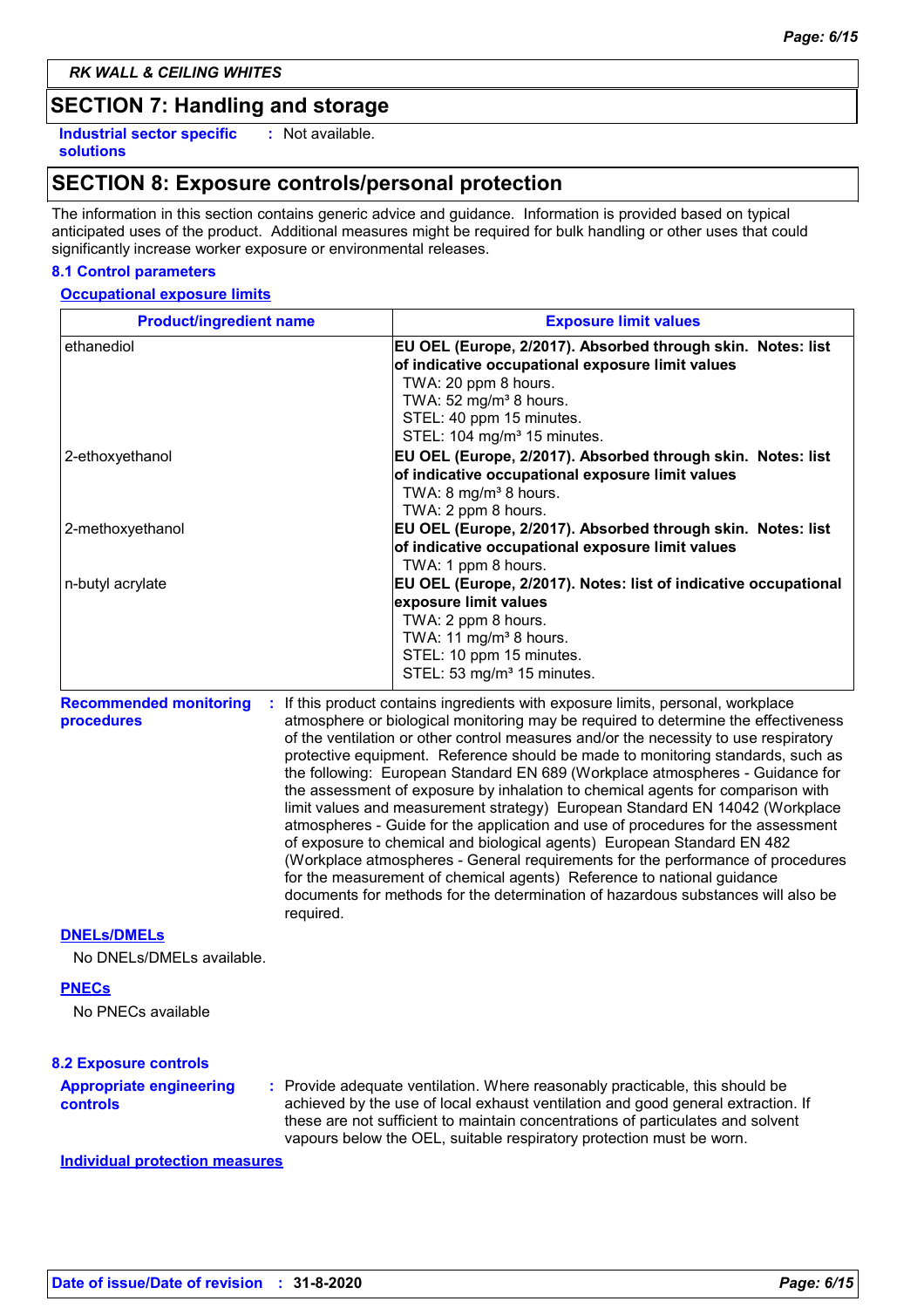# **SECTION 7: Handling and storage**

**Industrial sector specific : solutions**

: Not available.

# **SECTION 8: Exposure controls/personal protection**

The information in this section contains generic advice and guidance. Information is provided based on typical anticipated uses of the product. Additional measures might be required for bulk handling or other uses that could significantly increase worker exposure or environmental releases.

### **8.1 Control parameters**

#### **Occupational exposure limits**

| <b>Product/ingredient name</b>                   | <b>Exposure limit values</b>                                                                                                                                                                                                                                                                                                                                                                                                                                                                                                                                                                                                     |
|--------------------------------------------------|----------------------------------------------------------------------------------------------------------------------------------------------------------------------------------------------------------------------------------------------------------------------------------------------------------------------------------------------------------------------------------------------------------------------------------------------------------------------------------------------------------------------------------------------------------------------------------------------------------------------------------|
| ethanediol                                       | EU OEL (Europe, 2/2017). Absorbed through skin. Notes: list<br>of indicative occupational exposure limit values<br>TWA: 20 ppm 8 hours.<br>TWA: 52 mg/m <sup>3</sup> 8 hours.<br>STEL: 40 ppm 15 minutes.<br>STEL: 104 mg/m <sup>3</sup> 15 minutes.                                                                                                                                                                                                                                                                                                                                                                             |
| 2-ethoxyethanol                                  | EU OEL (Europe, 2/2017). Absorbed through skin. Notes: list<br>of indicative occupational exposure limit values<br>TWA: 8 mg/m <sup>3</sup> 8 hours.<br>TWA: 2 ppm 8 hours.                                                                                                                                                                                                                                                                                                                                                                                                                                                      |
| 2-methoxyethanol                                 | EU OEL (Europe, 2/2017). Absorbed through skin. Notes: list<br>of indicative occupational exposure limit values<br>TWA: 1 ppm 8 hours.                                                                                                                                                                                                                                                                                                                                                                                                                                                                                           |
| n-butyl acrylate                                 | EU OEL (Europe, 2/2017). Notes: list of indicative occupational<br>exposure limit values<br>TWA: 2 ppm 8 hours.<br>TWA: 11 mg/m <sup>3</sup> 8 hours.<br>STEL: 10 ppm 15 minutes.<br>STEL: 53 mg/m <sup>3</sup> 15 minutes.                                                                                                                                                                                                                                                                                                                                                                                                      |
| <b>Recommended monitoring</b><br>÷<br>procedures | If this product contains ingredients with exposure limits, personal, workplace<br>atmosphere or biological monitoring may be required to determine the effectiveness<br>of the ventilation or other control measures and/or the necessity to use respiratory<br>protective equipment. Reference should be made to monitoring standards, such as<br>the following: European Standard EN 689 (Workplace atmospheres - Guidance for<br>the assessment of exposure by inhalation to chemical agents for comparison with<br>$E_{\text{total}}$ (exclusive and proposed contractor of $\Gamma$ . From a completed FM 44040 AM coloring |

limit values and measurement strategy) European Standard EN 14042 (Workplace atmospheres - Guide for the application and use of procedures for the assessment of exposure to chemical and biological agents) European Standard EN 482 (Workplace atmospheres - General requirements for the performance of procedures for the measurement of chemical agents) Reference to national guidance documents for methods for the determination of hazardous substances will also be required.

#### **DNELs/DMELs**

No DNELs/DMELs available.

#### **PNECs**

No PNECs available

#### **8.2 Exposure controls**

**:** Provide adequate ventilation. Where reasonably practicable, this should be achieved by the use of local exhaust ventilation and good general extraction. If these are not sufficient to maintain concentrations of particulates and solvent vapours below the OEL, suitable respiratory protection must be worn. **Appropriate engineering controls**

**Individual protection measures**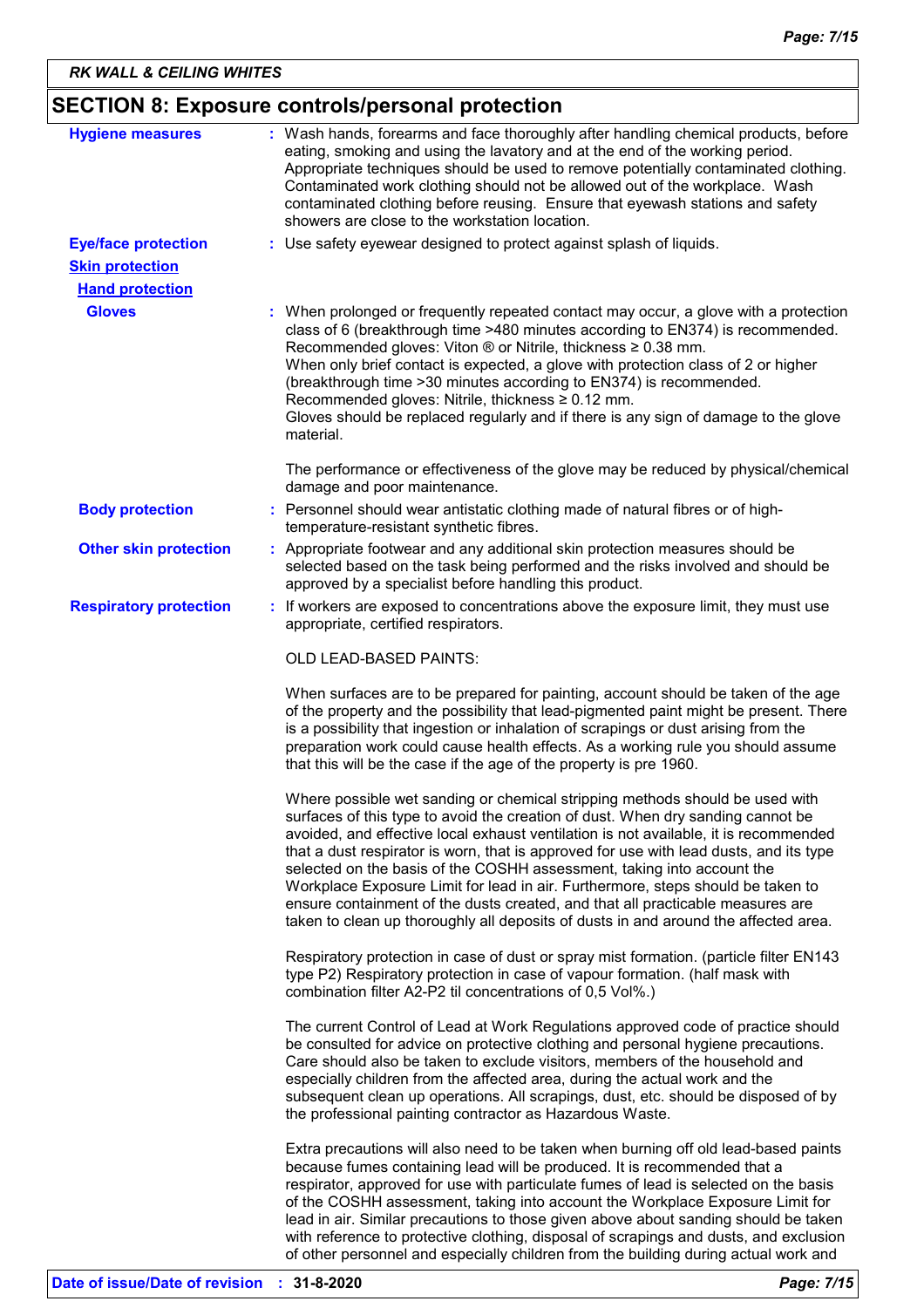| SECTION 8: Exposure controls/personal protection |  |  |  |
|--------------------------------------------------|--|--|--|
|--------------------------------------------------|--|--|--|

| <b>Hygiene measures</b>       | : Wash hands, forearms and face thoroughly after handling chemical products, before<br>eating, smoking and using the lavatory and at the end of the working period.<br>Appropriate techniques should be used to remove potentially contaminated clothing.<br>Contaminated work clothing should not be allowed out of the workplace. Wash<br>contaminated clothing before reusing. Ensure that eyewash stations and safety<br>showers are close to the workstation location.                                                                                                                                                                                                             |  |
|-------------------------------|-----------------------------------------------------------------------------------------------------------------------------------------------------------------------------------------------------------------------------------------------------------------------------------------------------------------------------------------------------------------------------------------------------------------------------------------------------------------------------------------------------------------------------------------------------------------------------------------------------------------------------------------------------------------------------------------|--|
| <b>Eye/face protection</b>    | : Use safety eyewear designed to protect against splash of liquids.                                                                                                                                                                                                                                                                                                                                                                                                                                                                                                                                                                                                                     |  |
| <b>Skin protection</b>        |                                                                                                                                                                                                                                                                                                                                                                                                                                                                                                                                                                                                                                                                                         |  |
| <b>Hand protection</b>        |                                                                                                                                                                                                                                                                                                                                                                                                                                                                                                                                                                                                                                                                                         |  |
| <b>Gloves</b>                 | : When prolonged or frequently repeated contact may occur, a glove with a protection<br>class of 6 (breakthrough time >480 minutes according to EN374) is recommended.<br>Recommended gloves: Viton $\otimes$ or Nitrile, thickness $\geq 0.38$ mm.<br>When only brief contact is expected, a glove with protection class of 2 or higher<br>(breakthrough time > 30 minutes according to EN374) is recommended.<br>Recommended gloves: Nitrile, thickness ≥ 0.12 mm.<br>Gloves should be replaced regularly and if there is any sign of damage to the glove<br>material.                                                                                                                |  |
|                               | The performance or effectiveness of the glove may be reduced by physical/chemical<br>damage and poor maintenance.                                                                                                                                                                                                                                                                                                                                                                                                                                                                                                                                                                       |  |
| <b>Body protection</b>        | : Personnel should wear antistatic clothing made of natural fibres or of high-<br>temperature-resistant synthetic fibres.                                                                                                                                                                                                                                                                                                                                                                                                                                                                                                                                                               |  |
| <b>Other skin protection</b>  | : Appropriate footwear and any additional skin protection measures should be<br>selected based on the task being performed and the risks involved and should be<br>approved by a specialist before handling this product.                                                                                                                                                                                                                                                                                                                                                                                                                                                               |  |
| <b>Respiratory protection</b> | : If workers are exposed to concentrations above the exposure limit, they must use<br>appropriate, certified respirators.                                                                                                                                                                                                                                                                                                                                                                                                                                                                                                                                                               |  |
|                               | OLD LEAD-BASED PAINTS:                                                                                                                                                                                                                                                                                                                                                                                                                                                                                                                                                                                                                                                                  |  |
|                               | When surfaces are to be prepared for painting, account should be taken of the age<br>of the property and the possibility that lead-pigmented paint might be present. There<br>is a possibility that ingestion or inhalation of scrapings or dust arising from the<br>preparation work could cause health effects. As a working rule you should assume<br>that this will be the case if the age of the property is pre 1960.                                                                                                                                                                                                                                                             |  |
|                               | Where possible wet sanding or chemical stripping methods should be used with<br>surfaces of this type to avoid the creation of dust. When dry sanding cannot be<br>avoided, and effective local exhaust ventilation is not available, it is recommended<br>that a dust respirator is worn, that is approved for use with lead dusts, and its type<br>selected on the basis of the COSHH assessment, taking into account the<br>Workplace Exposure Limit for lead in air. Furthermore, steps should be taken to<br>ensure containment of the dusts created, and that all practicable measures are<br>taken to clean up thoroughly all deposits of dusts in and around the affected area. |  |
|                               | Respiratory protection in case of dust or spray mist formation. (particle filter EN143)<br>type P2) Respiratory protection in case of vapour formation. (half mask with<br>combination filter A2-P2 til concentrations of 0,5 Vol%.)                                                                                                                                                                                                                                                                                                                                                                                                                                                    |  |
|                               | The current Control of Lead at Work Regulations approved code of practice should<br>be consulted for advice on protective clothing and personal hygiene precautions.<br>Care should also be taken to exclude visitors, members of the household and<br>especially children from the affected area, during the actual work and the<br>subsequent clean up operations. All scrapings, dust, etc. should be disposed of by<br>the professional painting contractor as Hazardous Waste.                                                                                                                                                                                                     |  |
|                               | Extra precautions will also need to be taken when burning off old lead-based paints<br>because fumes containing lead will be produced. It is recommended that a<br>respirator, approved for use with particulate fumes of lead is selected on the basis<br>of the COSHH assessment, taking into account the Workplace Exposure Limit for<br>lead in air. Similar precautions to those given above about sanding should be taken<br>with reference to protective clothing, disposal of scrapings and dusts, and exclusion                                                                                                                                                                |  |

of other personnel and especially children from the building during actual work and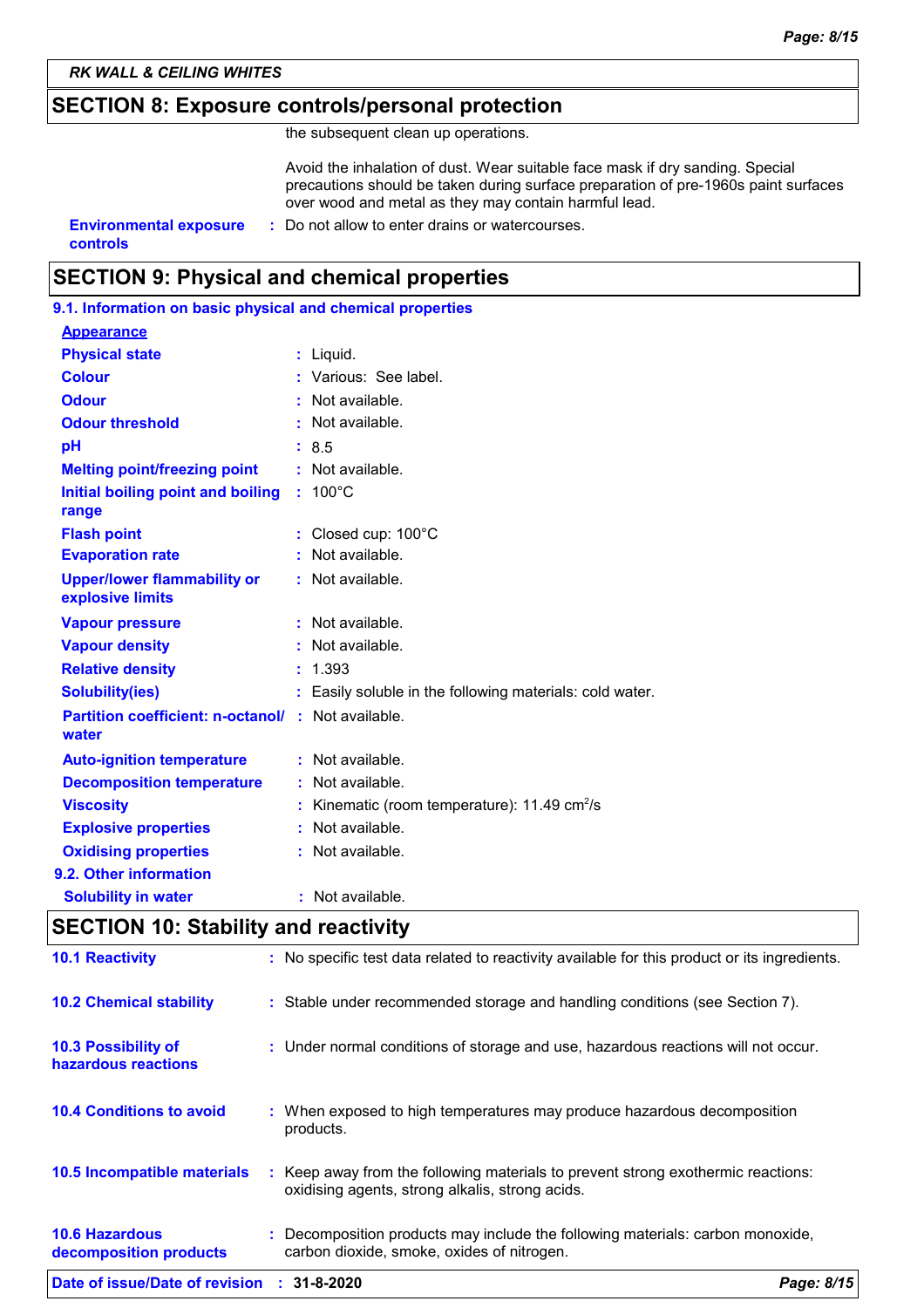# **SECTION 8: Exposure controls/personal protection**

the subsequent clean up operations.

Avoid the inhalation of dust. Wear suitable face mask if dry sanding. Special precautions should be taken during surface preparation of pre-1960s paint surfaces over wood and metal as they may contain harmful lead.

**controls**

**Environmental exposure : Do not allow to enter drains or watercourses.** 

# **SECTION 9: Physical and chemical properties**

| 9.1. Information on basic physical and chemical properties         |                                                               |
|--------------------------------------------------------------------|---------------------------------------------------------------|
| <b>Appearance</b>                                                  |                                                               |
| <b>Physical state</b>                                              | : Liquid.                                                     |
| <b>Colour</b>                                                      | : Various: See label.                                         |
| <b>Odour</b>                                                       | : Not available.                                              |
| <b>Odour threshold</b>                                             | : Not available.                                              |
| pH                                                                 | : 8.5                                                         |
| <b>Melting point/freezing point</b>                                | $:$ Not available.                                            |
| Initial boiling point and boiling : 100°C<br>range                 |                                                               |
| <b>Flash point</b>                                                 | : Closed cup: 100°C                                           |
| <b>Evaporation rate</b>                                            | Not available.                                                |
| <b>Upper/lower flammability or</b><br>explosive limits             | : Not available.                                              |
| <b>Vapour pressure</b>                                             | $:$ Not available.                                            |
| <b>Vapour density</b>                                              | : Not available.                                              |
| <b>Relative density</b>                                            | : 1.393                                                       |
| <b>Solubility(ies)</b>                                             | : Easily soluble in the following materials: cold water.      |
| <b>Partition coefficient: n-octanol/ : Not available.</b><br>water |                                                               |
| <b>Auto-ignition temperature</b>                                   | : Not available.                                              |
| <b>Decomposition temperature</b>                                   | $:$ Not available.                                            |
| <b>Viscosity</b>                                                   | : Kinematic (room temperature): $11.49 \text{ cm}^2/\text{s}$ |
| <b>Explosive properties</b>                                        | : Not available.                                              |
| <b>Oxidising properties</b>                                        | : Not available.                                              |
| 9.2. Other information                                             |                                                               |
| <b>Solubility in water</b>                                         | : Not available.                                              |
| FAT(A)                                                             |                                                               |

# **SECTION 10: Stability and reactivity**

| Date of issue/Date of revision : 31-8-2020        | Page: 8/15                                                                                                                          |
|---------------------------------------------------|-------------------------------------------------------------------------------------------------------------------------------------|
| <b>10.6 Hazardous</b><br>decomposition products   | : Decomposition products may include the following materials: carbon monoxide,<br>carbon dioxide, smoke, oxides of nitrogen.        |
| 10.5 Incompatible materials                       | : Keep away from the following materials to prevent strong exothermic reactions:<br>oxidising agents, strong alkalis, strong acids. |
| <b>10.4 Conditions to avoid</b>                   | : When exposed to high temperatures may produce hazardous decomposition<br>products.                                                |
| <b>10.3 Possibility of</b><br>hazardous reactions | : Under normal conditions of storage and use, hazardous reactions will not occur.                                                   |
| <b>10.2 Chemical stability</b>                    | : Stable under recommended storage and handling conditions (see Section 7).                                                         |
| <b>10.1 Reactivity</b>                            | : No specific test data related to reactivity available for this product or its ingredients.                                        |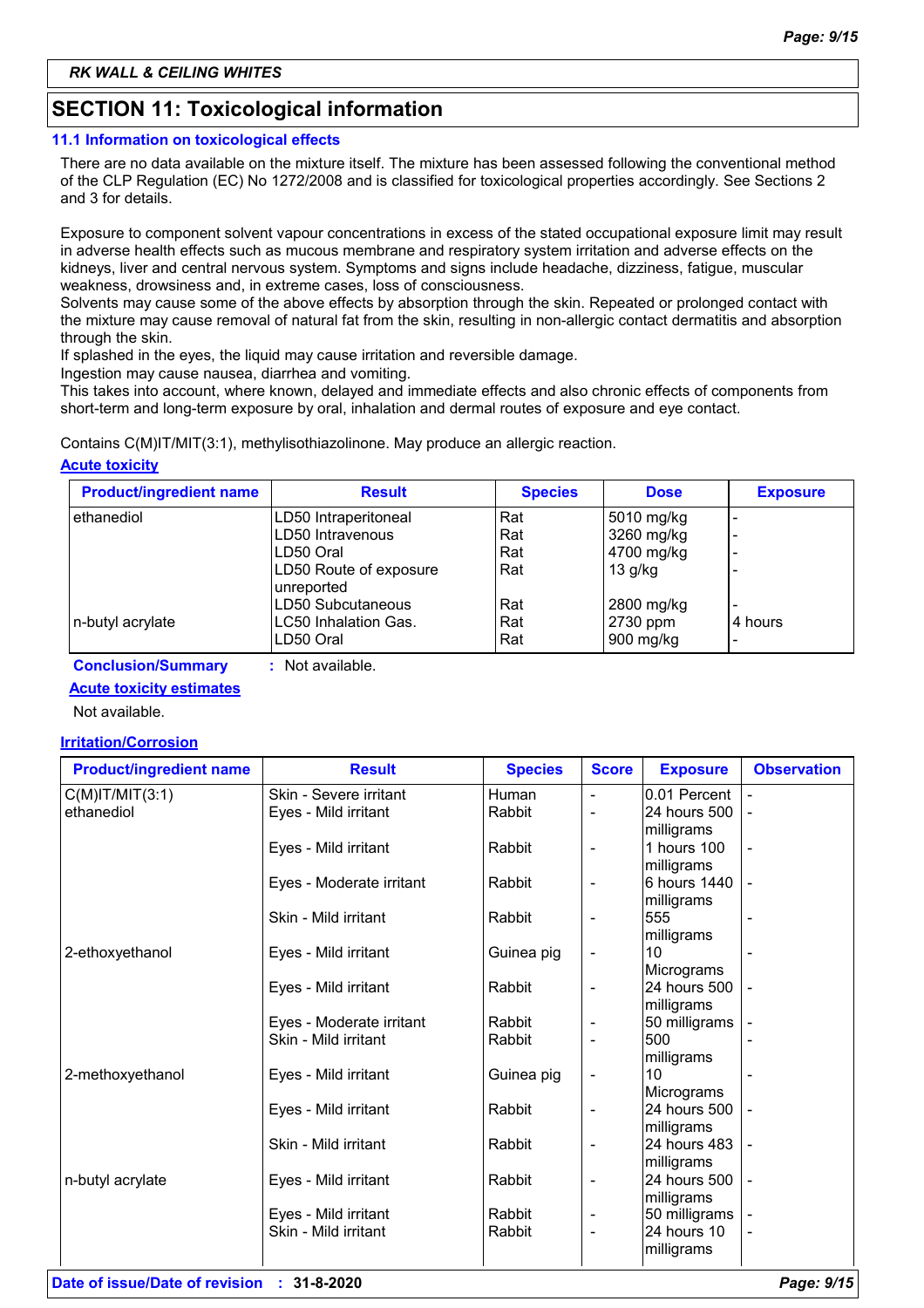# **SECTION 11: Toxicological information**

### **11.1 Information on toxicological effects**

There are no data available on the mixture itself. The mixture has been assessed following the conventional method of the CLP Regulation (EC) No 1272/2008 and is classified for toxicological properties accordingly. See Sections 2 and 3 for details.

Exposure to component solvent vapour concentrations in excess of the stated occupational exposure limit may result in adverse health effects such as mucous membrane and respiratory system irritation and adverse effects on the kidneys, liver and central nervous system. Symptoms and signs include headache, dizziness, fatigue, muscular weakness, drowsiness and, in extreme cases, loss of consciousness.

Solvents may cause some of the above effects by absorption through the skin. Repeated or prolonged contact with the mixture may cause removal of natural fat from the skin, resulting in non-allergic contact dermatitis and absorption through the skin.

If splashed in the eyes, the liquid may cause irritation and reversible damage.

Ingestion may cause nausea, diarrhea and vomiting.

This takes into account, where known, delayed and immediate effects and also chronic effects of components from short-term and long-term exposure by oral, inhalation and dermal routes of exposure and eye contact.

Contains C(M)IT/MIT(3:1), methylisothiazolinone. May produce an allergic reaction.

### **Acute toxicity**

| <b>Product/ingredient name</b> | <b>Result</b>                        | <b>Species</b> | <b>Dose</b> | <b>Exposure</b> |
|--------------------------------|--------------------------------------|----------------|-------------|-----------------|
| ethanediol                     | LD50 Intraperitoneal                 | Rat            | 5010 mg/kg  |                 |
|                                | LD50 Intravenous                     | Rat            | 3260 mg/kg  |                 |
|                                | LD50 Oral                            | Rat            | 4700 mg/kg  |                 |
|                                | LD50 Route of exposure<br>unreported | <b>Rat</b>     | $13$ g/kg   |                 |
|                                | LD50 Subcutaneous                    | Rat            | 2800 mg/kg  |                 |
| n-butyl acrylate               | LC50 Inhalation Gas.                 | <b>Rat</b>     | 2730 ppm    | 4 hours         |
|                                | LD50 Oral                            | l Rat          | 900 mg/kg   |                 |

**Conclusion/Summary :** Not available.

### **Acute toxicity estimates**

Not available.

### **Irritation/Corrosion**

| <b>Product/ingredient name</b> | <b>Result</b>                                    | <b>Species</b> | <b>Score</b>             | <b>Exposure</b>      | <b>Observation</b> |
|--------------------------------|--------------------------------------------------|----------------|--------------------------|----------------------|--------------------|
| $C(M)$ IT/MIT $(3:1)$          | Skin - Severe irritant                           | Human          |                          | 0.01 Percent         |                    |
| ethanediol                     | Eyes - Mild irritant                             | Rabbit         | -                        | 24 hours 500         |                    |
|                                |                                                  |                |                          | milligrams           |                    |
|                                | Eyes - Mild irritant                             | Rabbit         | $\overline{\phantom{0}}$ | 1 hours 100          |                    |
|                                |                                                  |                |                          | milligrams           |                    |
|                                | Eyes - Moderate irritant                         | Rabbit         | $\overline{\phantom{0}}$ | 6 hours 1440         |                    |
|                                |                                                  |                |                          | milligrams           |                    |
|                                | Skin - Mild irritant                             | Rabbit         |                          | 555                  |                    |
|                                |                                                  |                |                          | milligrams           |                    |
| 2-ethoxyethanol                | Eyes - Mild irritant                             | Guinea pig     |                          | 10                   |                    |
|                                |                                                  |                |                          | Micrograms           |                    |
|                                | Eyes - Mild irritant                             | Rabbit         | $\overline{\phantom{0}}$ | 24 hours 500         |                    |
|                                |                                                  | Rabbit         |                          | milligrams           |                    |
|                                | Eyes - Moderate irritant<br>Skin - Mild irritant | Rabbit         |                          | 50 milligrams<br>500 |                    |
|                                |                                                  |                |                          | milligrams           |                    |
| 2-methoxyethanol               | Eyes - Mild irritant                             | Guinea pig     |                          | 10                   |                    |
|                                |                                                  |                |                          | Micrograms           |                    |
|                                | Eyes - Mild irritant                             | Rabbit         | -                        | 24 hours 500         |                    |
|                                |                                                  |                |                          | milligrams           |                    |
|                                | Skin - Mild irritant                             | Rabbit         | $\overline{\phantom{0}}$ | 24 hours 483         |                    |
|                                |                                                  |                |                          | milligrams           |                    |
| n-butyl acrylate               | Eyes - Mild irritant                             | Rabbit         | $\overline{\phantom{0}}$ | 24 hours 500         |                    |
|                                |                                                  |                |                          | milligrams           |                    |
|                                | Eyes - Mild irritant                             | Rabbit         | -                        | 50 milligrams        |                    |
|                                | Skin - Mild irritant                             | Rabbit         | -                        | 24 hours 10          |                    |
|                                |                                                  |                |                          | milligrams           |                    |
|                                |                                                  |                |                          |                      |                    |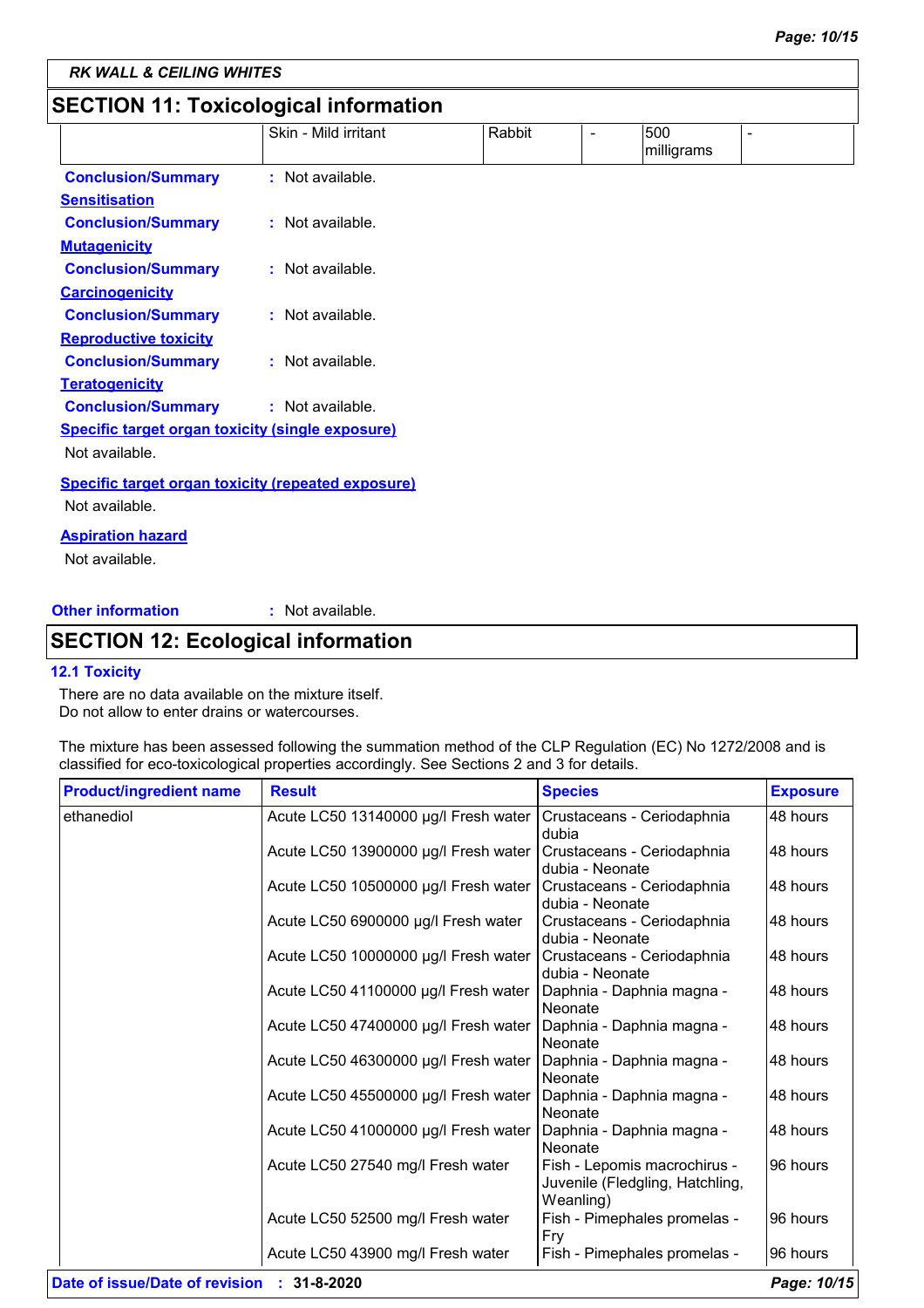# **SECTION 11: Toxicological information**

|                                                    | Skin - Mild irritant | Rabbit | 500        | $\overline{\phantom{0}}$ |
|----------------------------------------------------|----------------------|--------|------------|--------------------------|
|                                                    |                      |        | milligrams |                          |
| <b>Conclusion/Summary</b>                          | : Not available.     |        |            |                          |
| <b>Sensitisation</b>                               |                      |        |            |                          |
| <b>Conclusion/Summary</b>                          | : Not available.     |        |            |                          |
| <b>Mutagenicity</b>                                |                      |        |            |                          |
| <b>Conclusion/Summary</b>                          | : Not available.     |        |            |                          |
| <b>Carcinogenicity</b>                             |                      |        |            |                          |
| <b>Conclusion/Summary</b>                          | : Not available.     |        |            |                          |
| <b>Reproductive toxicity</b>                       |                      |        |            |                          |
| <b>Conclusion/Summary</b>                          | : Not available.     |        |            |                          |
| <b>Teratogenicity</b>                              |                      |        |            |                          |
| <b>Conclusion/Summary</b>                          | : Not available.     |        |            |                          |
| Specific target organ toxicity (single exposure)   |                      |        |            |                          |
| Not available.                                     |                      |        |            |                          |
| Specific target organ toxicity (repeated exposure) |                      |        |            |                          |
| Not available.                                     |                      |        |            |                          |
| <b>Aspiration hazard</b>                           |                      |        |            |                          |
|                                                    |                      |        |            |                          |

Not available.

**Other information :**

: Not available.

# **SECTION 12: Ecological information**

#### **12.1 Toxicity**

There are no data available on the mixture itself. Do not allow to enter drains or watercourses.

The mixture has been assessed following the summation method of the CLP Regulation (EC) No 1272/2008 and is classified for eco-toxicological properties accordingly. See Sections 2 and 3 for details.

| <b>Product/ingredient name</b> | <b>Result</b>                        | <b>Species</b>                                                               | <b>Exposure</b> |
|--------------------------------|--------------------------------------|------------------------------------------------------------------------------|-----------------|
| ethanediol                     | Acute LC50 13140000 µg/l Fresh water | Crustaceans - Ceriodaphnia<br>dubia                                          | 48 hours        |
|                                | Acute LC50 13900000 µg/l Fresh water | Crustaceans - Ceriodaphnia<br>dubia - Neonate                                | 48 hours        |
|                                | Acute LC50 10500000 µg/l Fresh water | Crustaceans - Ceriodaphnia<br>dubia - Neonate                                | 48 hours        |
|                                | Acute LC50 6900000 µg/l Fresh water  | Crustaceans - Ceriodaphnia<br>dubia - Neonate                                | 48 hours        |
|                                | Acute LC50 10000000 µg/l Fresh water | Crustaceans - Ceriodaphnia<br>dubia - Neonate                                | 48 hours        |
|                                | Acute LC50 41100000 µg/l Fresh water | Daphnia - Daphnia magna -<br>Neonate                                         | 48 hours        |
|                                | Acute LC50 47400000 µg/l Fresh water | Daphnia - Daphnia magna -<br><b>Neonate</b>                                  | 48 hours        |
|                                | Acute LC50 46300000 µg/l Fresh water | Daphnia - Daphnia magna -<br>Neonate                                         | 48 hours        |
|                                | Acute LC50 45500000 µg/l Fresh water | Daphnia - Daphnia magna -<br>Neonate                                         | 48 hours        |
|                                | Acute LC50 41000000 µg/l Fresh water | Daphnia - Daphnia magna -<br><b>Neonate</b>                                  | 48 hours        |
|                                | Acute LC50 27540 mg/l Fresh water    | Fish - Lepomis macrochirus -<br>Juvenile (Fledgling, Hatchling,<br>Weanling) | 96 hours        |
|                                | Acute LC50 52500 mg/l Fresh water    | Fish - Pimephales promelas -<br>Fry                                          | 96 hours        |
|                                | Acute LC50 43900 mg/l Fresh water    | Fish - Pimephales promelas -                                                 | 96 hours        |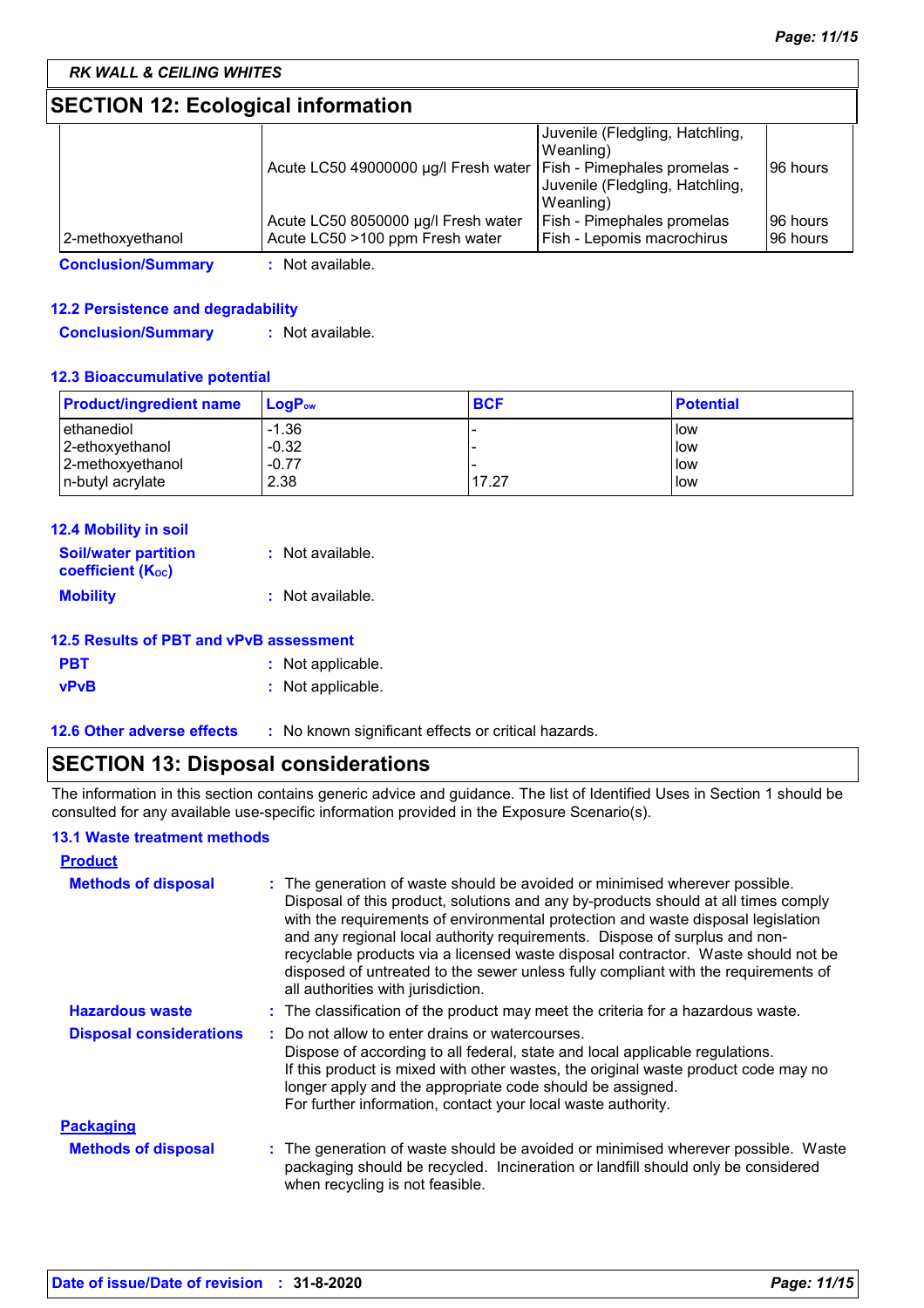# **SECTION 12: Ecological information**

| Canalusian (Cummani | لملما والمربط والملل                                                |                                 |          |
|---------------------|---------------------------------------------------------------------|---------------------------------|----------|
| 2-methoxyethanol    | Acute LC50 >100 ppm Fresh water                                     | Fish - Lepomis macrochirus      | 96 hours |
|                     | Acute LC50 8050000 µg/l Fresh water                                 | Fish - Pimephales promelas      | 96 hours |
|                     |                                                                     | Weanling)                       |          |
|                     |                                                                     | Juvenile (Fledgling, Hatchling, |          |
|                     | Acute LC50 49000000 µg/l Fresh water   Fish - Pimephales promelas - |                                 | 96 hours |
|                     |                                                                     | Weanling)                       |          |
|                     |                                                                     | Juvenile (Fledgling, Hatchling, |          |

**Conclusion/Summary :** Not available.

### **12.2 Persistence and degradability**

**Conclusion/Summary :** Not available.

#### **12.3 Bioaccumulative potential**

| <b>Product/ingredient name</b> | <b>LogP</b> <sub>ow</sub> | <b>BCF</b> | <b>Potential</b> |
|--------------------------------|---------------------------|------------|------------------|
| ethanediol                     | $-1.36$                   |            | low              |
| 2-ethoxyethanol                | $-0.32$                   |            | llow             |
| 2-methoxyethanol               | $-0.77$                   |            | llow             |
| n-butyl acrylate               | 2.38                      | 17.27      | low              |

| <b>12.4 Mobility in soil</b>                            |                  |
|---------------------------------------------------------|------------------|
| <b>Soil/water partition</b><br><b>coefficient (Koc)</b> | : Not available. |
| <b>Mobility</b>                                         | : Not available. |

| 12.5 Results of PBT and vPvB assessment |                   |  |
|-----------------------------------------|-------------------|--|
| <b>PBT</b>                              | : Not applicable. |  |
| vPvB                                    | : Not applicable. |  |

**12.6 Other adverse effects** : No known significant effects or critical hazards.

# **SECTION 13: Disposal considerations**

The information in this section contains generic advice and guidance. The list of Identified Uses in Section 1 should be consulted for any available use-specific information provided in the Exposure Scenario(s).

#### **13.1 Waste treatment methods**

| <b>Product</b>                 |                                                                                                                                                                                                                                                                                                                                                                                                                                                                                                                                                      |  |
|--------------------------------|------------------------------------------------------------------------------------------------------------------------------------------------------------------------------------------------------------------------------------------------------------------------------------------------------------------------------------------------------------------------------------------------------------------------------------------------------------------------------------------------------------------------------------------------------|--|
| <b>Methods of disposal</b>     | : The generation of waste should be avoided or minimised wherever possible.<br>Disposal of this product, solutions and any by-products should at all times comply<br>with the requirements of environmental protection and waste disposal legislation<br>and any regional local authority requirements. Dispose of surplus and non-<br>recyclable products via a licensed waste disposal contractor. Waste should not be<br>disposed of untreated to the sewer unless fully compliant with the requirements of<br>all authorities with jurisdiction. |  |
| <b>Hazardous waste</b>         | : The classification of the product may meet the criteria for a hazardous waste.                                                                                                                                                                                                                                                                                                                                                                                                                                                                     |  |
| <b>Disposal considerations</b> | Do not allow to enter drains or watercourses.<br>Dispose of according to all federal, state and local applicable regulations.<br>If this product is mixed with other wastes, the original waste product code may no<br>longer apply and the appropriate code should be assigned.<br>For further information, contact your local waste authority.                                                                                                                                                                                                     |  |
| <b>Packaging</b>               |                                                                                                                                                                                                                                                                                                                                                                                                                                                                                                                                                      |  |
| <b>Methods of disposal</b>     | The generation of waste should be avoided or minimised wherever possible. Waste<br>packaging should be recycled. Incineration or landfill should only be considered<br>when recycling is not feasible.                                                                                                                                                                                                                                                                                                                                               |  |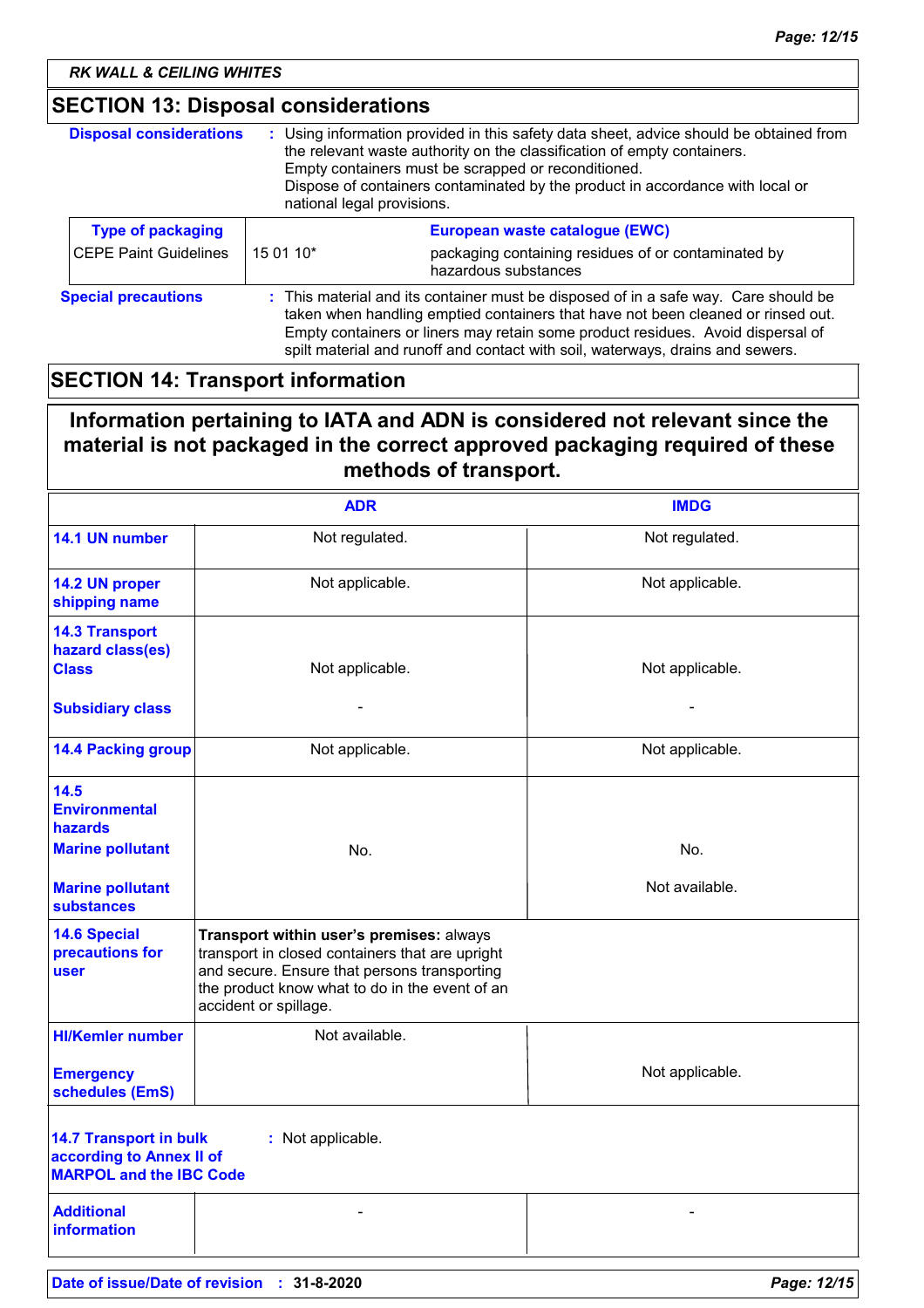# **SECTION 13: Disposal considerations**

| <b>Disposal considerations</b> | : Using information provided in this safety data sheet, advice should be obtained from<br>the relevant waste authority on the classification of empty containers.<br>Empty containers must be scrapped or reconditioned.<br>Dispose of containers contaminated by the product in accordance with local or<br>national legal provisions.      |                                                                             |  |
|--------------------------------|----------------------------------------------------------------------------------------------------------------------------------------------------------------------------------------------------------------------------------------------------------------------------------------------------------------------------------------------|-----------------------------------------------------------------------------|--|
| <b>Type of packaging</b>       |                                                                                                                                                                                                                                                                                                                                              | European waste catalogue (EWC)                                              |  |
| <b>CEPE Paint Guidelines</b>   | 15 01 10*                                                                                                                                                                                                                                                                                                                                    | packaging containing residues of or contaminated by<br>hazardous substances |  |
| <b>Special precautions</b>     | : This material and its container must be disposed of in a safe way. Care should be<br>taken when handling emptied containers that have not been cleaned or rinsed out.<br>Empty containers or liners may retain some product residues. Avoid dispersal of<br>spilt material and runoff and contact with soil, waterways, drains and sewers. |                                                                             |  |

# **SECTION 14: Transport information**

# **Information pertaining to IATA and ADN is considered not relevant since the material is not packaged in the correct approved packaging required of these methods of transport.**

|                                                                                                                  | <b>ADR</b>                                                                                                                                                                                                             | <b>IMDG</b>     |  |
|------------------------------------------------------------------------------------------------------------------|------------------------------------------------------------------------------------------------------------------------------------------------------------------------------------------------------------------------|-----------------|--|
| 14.1 UN number                                                                                                   | Not regulated.                                                                                                                                                                                                         | Not regulated.  |  |
| 14.2 UN proper<br>shipping name                                                                                  | Not applicable.                                                                                                                                                                                                        | Not applicable. |  |
| <b>14.3 Transport</b><br>hazard class(es)<br><b>Class</b>                                                        | Not applicable.                                                                                                                                                                                                        | Not applicable. |  |
| <b>Subsidiary class</b>                                                                                          |                                                                                                                                                                                                                        |                 |  |
| <b>14.4 Packing group</b>                                                                                        | Not applicable.                                                                                                                                                                                                        | Not applicable. |  |
| 14.5<br><b>Environmental</b><br>hazards                                                                          |                                                                                                                                                                                                                        |                 |  |
| <b>Marine pollutant</b>                                                                                          | No.                                                                                                                                                                                                                    | No.             |  |
| <b>Marine pollutant</b><br><b>substances</b>                                                                     |                                                                                                                                                                                                                        | Not available.  |  |
| <b>14.6 Special</b><br>precautions for<br>user                                                                   | Transport within user's premises: always<br>transport in closed containers that are upright<br>and secure. Ensure that persons transporting<br>the product know what to do in the event of an<br>accident or spillage. |                 |  |
| <b>HI/Kemler number</b>                                                                                          | Not available.                                                                                                                                                                                                         |                 |  |
| <b>Emergency</b><br>schedules (EmS)                                                                              |                                                                                                                                                                                                                        | Not applicable. |  |
| <b>14.7 Transport in bulk</b><br>: Not applicable.<br>according to Annex II of<br><b>MARPOL and the IBC Code</b> |                                                                                                                                                                                                                        |                 |  |
| <b>Additional</b><br><b>information</b>                                                                          |                                                                                                                                                                                                                        |                 |  |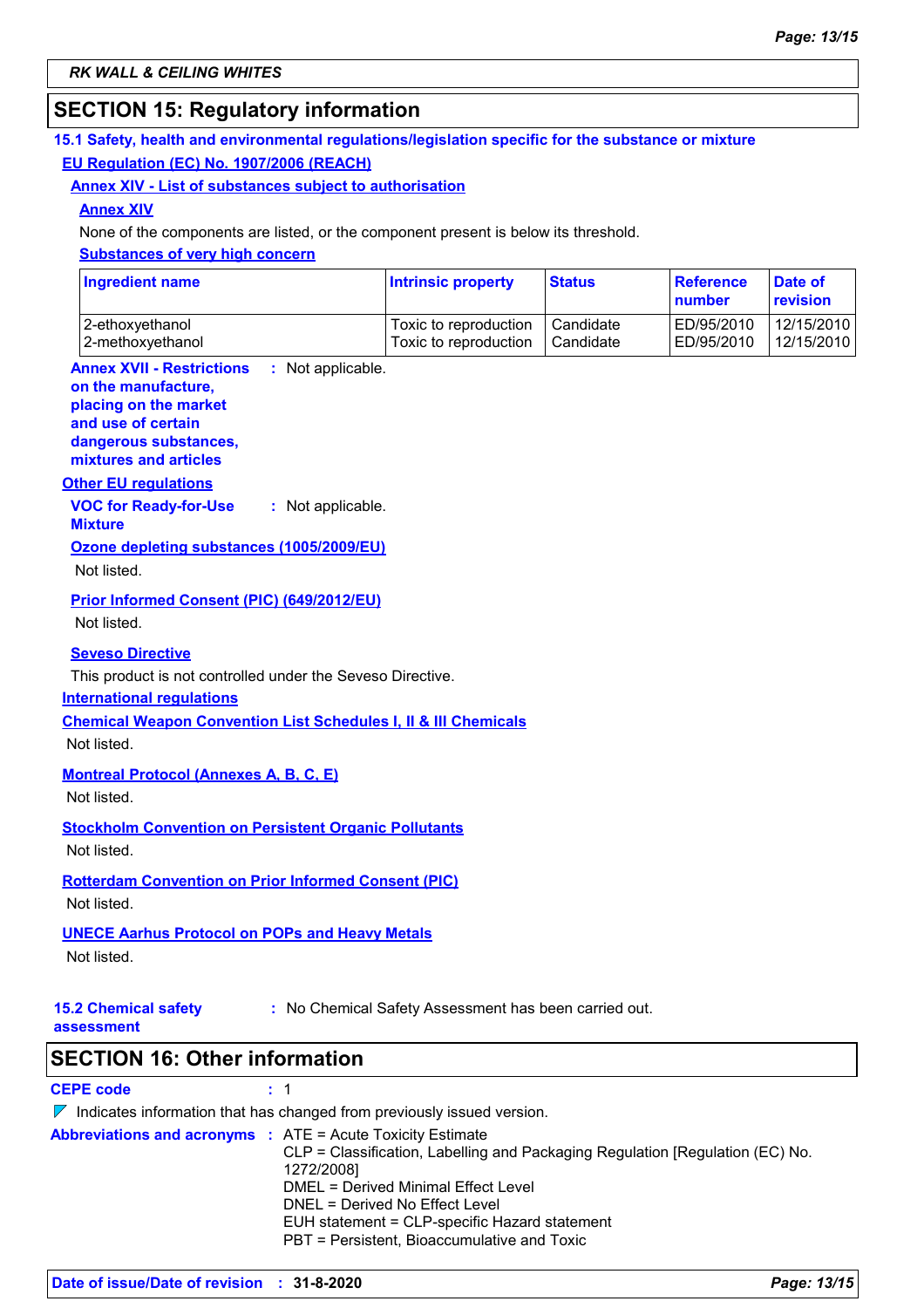# **SECTION 15: Regulatory information**

### **15.1 Safety, health and environmental regulations/legislation specific for the substance or mixture EU Regulation (EC) No. 1907/2006 (REACH)**

#### **Annex XIV - List of substances subject to authorisation**

#### **Annex XIV**

None of the components are listed, or the component present is below its threshold.

#### **Substances of very high concern**

| <b>Ingredient name</b> | <b>Intrinsic property</b> | <b>Status</b> | Reference<br><b>number</b> | Date of<br><b>revision</b> |
|------------------------|---------------------------|---------------|----------------------------|----------------------------|
| 2-ethoxyethanol        | Toxic to reproduction     | Candidate     | ED/95/2010                 | 12/15/2010                 |
| 2-methoxyethanol       | Toxic to reproduction     | Candidate     | ED/95/2010                 | 12/15/2010                 |

#### **Annex XVII - Restrictions on the manufacture,** : Not applicable.

#### **placing on the market**

**and use of certain dangerous substances,**

**mixtures and articles**

### **Other EU regulations**

**VOC for Ready-for-Use Mixture :** Not applicable.

# **Ozone depleting substances (1005/2009/EU)**

Not listed.

**Prior Informed Consent (PIC) (649/2012/EU)**

Not listed.

#### **Seveso Directive**

This product is not controlled under the Seveso Directive.

#### **International regulations**

**Chemical Weapon Convention List Schedules I, II & III Chemicals**

Not listed.

### **Montreal Protocol (Annexes A, B, C, E)**

Not listed.

**Stockholm Convention on Persistent Organic Pollutants**

Not listed.

#### **Rotterdam Convention on Prior Informed Consent (PIC)** Not listed.

### **UNECE Aarhus Protocol on POPs and Heavy Metals**

Not listed.

**15.2 Chemical safety** 

**:** No Chemical Safety Assessment has been carried out.

**assessment**

**SECTION 16: Other information**

### **CEPE code :** 1

 $\nabla$  Indicates information that has changed from previously issued version. **Abbreviations and acronyms :** ATE = Acute Toxicity Estimate CLP = Classification, Labelling and Packaging Regulation [Regulation (EC) No. 1272/2008] DMEL = Derived Minimal Effect Level DNEL = Derived No Effect Level EUH statement = CLP-specific Hazard statement PBT = Persistent, Bioaccumulative and Toxic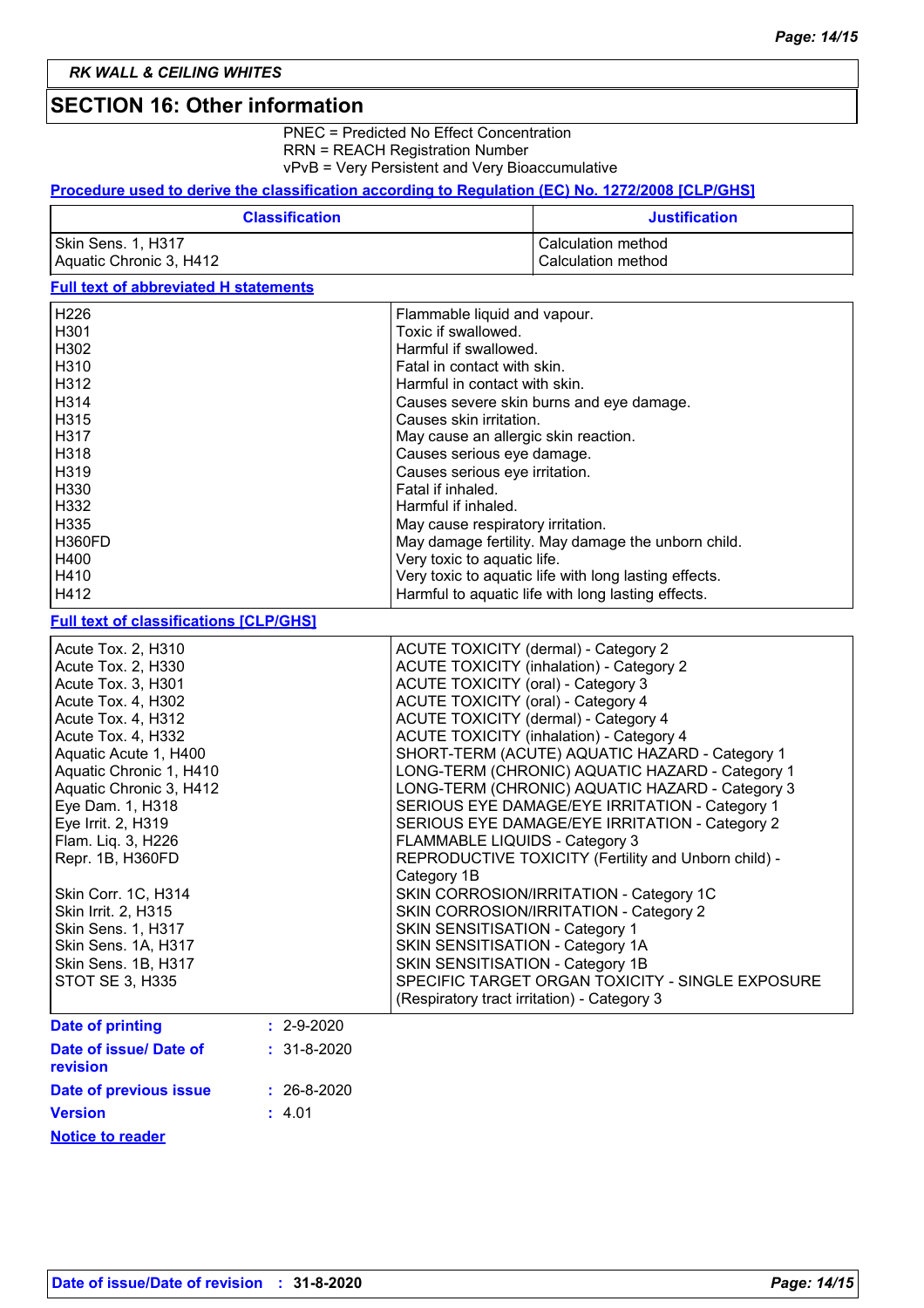## **SECTION 16: Other information**

PNEC = Predicted No Effect Concentration RRN = REACH Registration Number vPvB = Very Persistent and Very Bioaccumulative

### **Procedure used to derive the classification according to Regulation (EC) No. 1272/2008 [CLP/GHS]**

| <b>Classification</b>   | <b>Justification</b> |
|-------------------------|----------------------|
| Skin Sens. 1, H317      | Calculation method   |
| Aquatic Chronic 3, H412 | Calculation method   |

### **Full text of abbreviated H statements**

| H <sub>226</sub>                              |                   | Flammable liquid and vapour.                                        |
|-----------------------------------------------|-------------------|---------------------------------------------------------------------|
| H301                                          |                   | Toxic if swallowed.                                                 |
| H302                                          |                   | Harmful if swallowed.                                               |
| H310                                          |                   | Fatal in contact with skin.                                         |
| H312                                          |                   | Harmful in contact with skin.                                       |
| H314                                          |                   | Causes severe skin burns and eye damage.                            |
| H315                                          |                   | Causes skin irritation.                                             |
| H317                                          |                   | May cause an allergic skin reaction.                                |
| H318                                          |                   | Causes serious eye damage.                                          |
| H319                                          |                   | Causes serious eye irritation.                                      |
| H330                                          |                   | Fatal if inhaled.                                                   |
| H332                                          |                   | Harmful if inhaled.                                                 |
| H335                                          |                   | May cause respiratory irritation.                                   |
| <b>H360FD</b>                                 |                   | May damage fertility. May damage the unborn child.                  |
| H400                                          |                   | Very toxic to aquatic life.                                         |
| H410                                          |                   | Very toxic to aquatic life with long lasting effects.               |
| H412                                          |                   | Harmful to aquatic life with long lasting effects.                  |
|                                               |                   |                                                                     |
| <b>Full text of classifications [CLP/GHS]</b> |                   |                                                                     |
| Acute Tox. 2, H310                            |                   | <b>ACUTE TOXICITY (dermal) - Category 2</b>                         |
| Acute Tox. 2, H330                            |                   | <b>ACUTE TOXICITY (inhalation) - Category 2</b>                     |
| Acute Tox. 3, H301                            |                   | <b>ACUTE TOXICITY (oral) - Category 3</b>                           |
| Acute Tox. 4, H302                            |                   | <b>ACUTE TOXICITY (oral) - Category 4</b>                           |
| Acute Tox. 4, H312                            |                   | ACUTE TOXICITY (dermal) - Category 4                                |
| Acute Tox. 4, H332                            |                   | <b>ACUTE TOXICITY (inhalation) - Category 4</b>                     |
| Aquatic Acute 1, H400                         |                   | SHORT-TERM (ACUTE) AQUATIC HAZARD - Category 1                      |
| Aquatic Chronic 1, H410                       |                   | LONG-TERM (CHRONIC) AQUATIC HAZARD - Category 1                     |
| Aquatic Chronic 3, H412                       |                   | LONG-TERM (CHRONIC) AQUATIC HAZARD - Category 3                     |
| Eye Dam. 1, H318                              |                   | SERIOUS EYE DAMAGE/EYE IRRITATION - Category 1                      |
| Eye Irrit. 2, H319                            |                   | SERIOUS EYE DAMAGE/EYE IRRITATION - Category 2                      |
| Flam. Liq. 3, H226                            |                   | FLAMMABLE LIQUIDS - Category 3                                      |
| Repr. 1B, H360FD                              |                   | REPRODUCTIVE TOXICITY (Fertility and Unborn child) -                |
|                                               |                   | Category 1B                                                         |
| Skin Corr. 1C, H314                           |                   | SKIN CORROSION/IRRITATION - Category 1C                             |
| Skin Irrit. 2, H315                           |                   | SKIN CORROSION/IRRITATION - Category 2                              |
|                                               |                   |                                                                     |
| Skin Sens. 1, H317<br>Skin Sens. 1A, H317     |                   | SKIN SENSITISATION - Category 1<br>SKIN SENSITISATION - Category 1A |
| Skin Sens. 1B, H317                           |                   | SKIN SENSITISATION - Category 1B                                    |
|                                               |                   | SPECIFIC TARGET ORGAN TOXICITY - SINGLE EXPOSURE                    |
| <b>STOT SE 3, H335</b>                        |                   |                                                                     |
|                                               |                   | (Respiratory tract irritation) - Category 3                         |
| <b>Date of printing</b>                       | $: 2 - 9 - 2020$  |                                                                     |
| Date of issue/ Date of                        | $: 31-8-2020$     |                                                                     |
| revision                                      |                   |                                                                     |
| Date of previous issue                        | $: 26 - 8 - 2020$ |                                                                     |
| <b>Version</b>                                | : 4.01            |                                                                     |
| <b>Notice to reader</b>                       |                   |                                                                     |